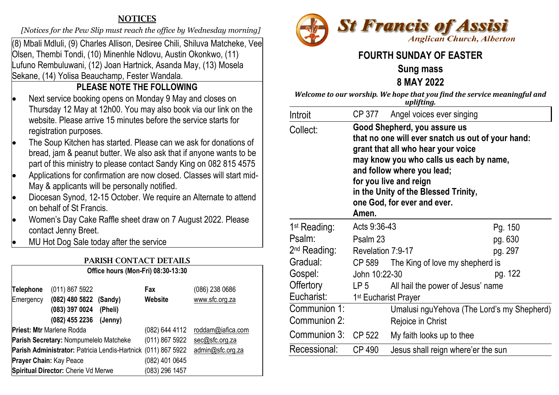## **NOTICES**

 *[Notices for the Pew Slip must reach the office by Wednesday morning]* 

(8) Mbali Mdluli, (9) Charles Allison, Desiree Chili, Shiluva Matcheke, Vee Olsen, Thembi Tondi, (10) Minenhle Ndlovu, Austin Okonkwo, (11) Lufuno Rembuluwani, (12) Joan Hartnick, Asanda May, (13) Mosela Sekane, (14) Yolisa Beauchamp, Fester Wandala.

# **PLEASE NOTE THE FOLLOWING**

- Next service booking opens on Monday 9 May and closes on Thursday 12 May at 12h00. You may also book via our link on the website. Please arrive 15 minutes before the service starts for registration purposes.
- The Soup Kitchen has started. Please can we ask for donations of bread, jam & peanut butter. We also ask that if anyone wants to be part of this ministry to please contact Sandy King on 082 815 4575
- Applications for confirmation are now closed. Classes will start mid-May & applicants will be personally notified.
- Diocesan Synod, 12-15 October. We require an Alternate to attend on behalf of St Francis.
- Women's Day Cake Raffle sheet draw on 7 August 2022. Please contact Jenny Breet.
- MU Hot Dog Sale today after the service

| <b>PARISH CONTACT DETAILS</b>                                                                 |                                                                       |                |                                  |  |  |
|-----------------------------------------------------------------------------------------------|-----------------------------------------------------------------------|----------------|----------------------------------|--|--|
| Office hours (Mon-Fri) 08:30-13:30                                                            |                                                                       |                |                                  |  |  |
| <b>Telephone</b><br>Emergency                                                                 | (011) 867 5922<br>(082) 480 5822 (Sandy)<br>(083) 397 0024<br>(Pheli) | Fax<br>Website | (086) 238 0686<br>www.sfc.org.za |  |  |
| (082) 455 2236<br>(Jenny)<br>Priest: Mtr Marlene Rodda<br>(082) 644 4112<br>roddam@iafica.com |                                                                       |                |                                  |  |  |
| Parish Secretary: Nompumelelo Matcheke                                                        |                                                                       | (011) 867 5922 | sec@sfc.org.za                   |  |  |
|                                                                                               | Parish Administrator: Patricia Lendis-Hartnick (011) 867 5922         |                | admin@sfc.org.za                 |  |  |
| <b>Prayer Chain: Kay Peace</b>                                                                |                                                                       | (082) 401 0645 |                                  |  |  |
|                                                                                               | Spiritual Director: Cherie Vd Merwe                                   | (083) 296 1457 |                                  |  |  |



# **FOURTH SUNDAY OF EASTER**

# **Sung mass**

**8 MAY 2022**

| Welcome to our worship. We hope that you find the service meaningful and |
|--------------------------------------------------------------------------|
| uplifting.                                                               |

| Introit                         |                                                                                                                                                                                                                                                                                                                                                |                                                                 |         |  |
|---------------------------------|------------------------------------------------------------------------------------------------------------------------------------------------------------------------------------------------------------------------------------------------------------------------------------------------------------------------------------------------|-----------------------------------------------------------------|---------|--|
| Collect:                        | CP 377 Angel voices ever singing<br>Good Shepherd, you assure us<br>that no one will ever snatch us out of your hand:<br>grant that all who hear your voice<br>may know you who calls us each by name,<br>and follow where you lead;<br>for you live and reign<br>in the Unity of the Blessed Trinity,<br>one God, for ever and ever.<br>Amen. |                                                                 |         |  |
| 1 <sup>st</sup> Reading:        | Acts 9:36-43                                                                                                                                                                                                                                                                                                                                   |                                                                 | Pg. 150 |  |
| Psalm:                          | Psalm 23                                                                                                                                                                                                                                                                                                                                       |                                                                 | pg. 630 |  |
| 2 <sup>nd</sup> Reading:        | Revelation 7:9-17                                                                                                                                                                                                                                                                                                                              |                                                                 | pg. 297 |  |
| Gradual:                        |                                                                                                                                                                                                                                                                                                                                                | CP 589 The King of love my shepherd is                          |         |  |
| Gospel:                         | John 10:22-30                                                                                                                                                                                                                                                                                                                                  |                                                                 | pg. 122 |  |
| Offertory                       | LP 5                                                                                                                                                                                                                                                                                                                                           | All hail the power of Jesus' name                               |         |  |
| Eucharist:                      | 1 <sup>st</sup> Eucharist Prayer                                                                                                                                                                                                                                                                                                               |                                                                 |         |  |
| Communion $1$ :<br>Communion 2: |                                                                                                                                                                                                                                                                                                                                                | Umalusi nguYehova (The Lord's my Shepherd)<br>Rejoice in Christ |         |  |
| Communion 3:                    | CP 522                                                                                                                                                                                                                                                                                                                                         | My faith looks up to thee                                       |         |  |
| Recessional:                    | CP 490                                                                                                                                                                                                                                                                                                                                         | Jesus shall reign where'er the sun                              |         |  |